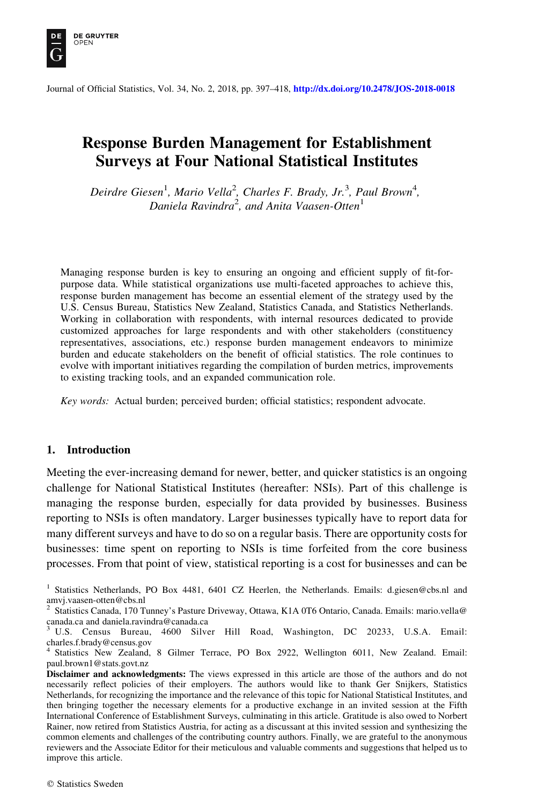

Journal of Official Statistics, Vol. 34, No. 2, 2018, pp. 397–418, <http://dx.doi.org/10.2478/JOS-2018-0018>

# Response Burden Management for Establishment Surveys at Four National Statistical Institutes

Deirdre Giesen<sup>1</sup>, Mario Vella<sup>2</sup>, Charles F. Brady, Jr.<sup>3</sup>, Paul Brown<sup>4</sup>, Daniela Ravindra<sup>2</sup>, and Anita Vaasen-Otten<sup>1</sup>

Managing response burden is key to ensuring an ongoing and efficient supply of fit-forpurpose data. While statistical organizations use multi-faceted approaches to achieve this, response burden management has become an essential element of the strategy used by the U.S. Census Bureau, Statistics New Zealand, Statistics Canada, and Statistics Netherlands. Working in collaboration with respondents, with internal resources dedicated to provide customized approaches for large respondents and with other stakeholders (constituency representatives, associations, etc.) response burden management endeavors to minimize burden and educate stakeholders on the benefit of official statistics. The role continues to evolve with important initiatives regarding the compilation of burden metrics, improvements to existing tracking tools, and an expanded communication role.

Key words: Actual burden; perceived burden; official statistics; respondent advocate.

# 1. Introduction

Meeting the ever-increasing demand for newer, better, and quicker statistics is an ongoing challenge for National Statistical Institutes (hereafter: NSIs). Part of this challenge is managing the response burden, especially for data provided by businesses. Business reporting to NSIs is often mandatory. Larger businesses typically have to report data for many different surveys and have to do so on a regular basis. There are opportunity costs for businesses: time spent on reporting to NSIs is time forfeited from the core business processes. From that point of view, statistical reporting is a cost for businesses and can be

<sup>&</sup>lt;sup>1</sup> Statistics Netherlands, PO Box 4481, 6401 CZ Heerlen, the Netherlands. Emails: d.giesen@cbs.nl and amvj.vaasen-otten@cbs.nl

<sup>2</sup> Statistics Canada, 170 Tunney's Pasture Driveway, Ottawa, K1A 0T6 Ontario, Canada. Emails: mario.vella@ canada.ca and daniela.ravindra@canada.ca

<sup>3</sup> U.S. Census Bureau, 4600 Silver Hill Road, Washington, DC 20233, U.S.A. Email: charles.f.brady@census.gov

<sup>4</sup> Statistics New Zealand, 8 Gilmer Terrace, PO Box 2922, Wellington 6011, New Zealand. Email: paul.brown1@stats.govt.nz

Disclaimer and acknowledgments: The views expressed in this article are those of the authors and do not necessarily reflect policies of their employers. The authors would like to thank Ger Snijkers, Statistics Netherlands, for recognizing the importance and the relevance of this topic for National Statistical Institutes, and then bringing together the necessary elements for a productive exchange in an invited session at the Fifth International Conference of Establishment Surveys, culminating in this article. Gratitude is also owed to Norbert Rainer, now retired from Statistics Austria, for acting as a discussant at this invited session and synthesizing the common elements and challenges of the contributing country authors. Finally, we are grateful to the anonymous reviewers and the Associate Editor for their meticulous and valuable comments and suggestions that helped us to improve this article.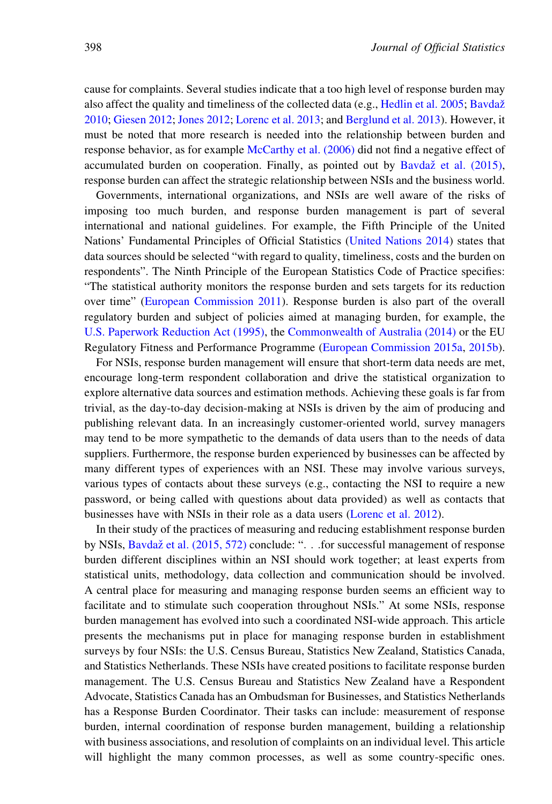cause for complaints. Several studies indicate that a too high level of response burden may also affect the quality and timeliness of the collected data (e.g., [Hedlin et al. 2005](#page-20-0); Bavdaž [2010;](#page-18-0) [Giesen 2012;](#page-19-0) [Jones 2012](#page-20-0); [Lorenc et al. 2013](#page-20-0); and [Berglund et al. 2013\)](#page-18-0). However, it must be noted that more research is needed into the relationship between burden and response behavior, as for example [McCarthy et al. \(2006\)](#page-20-0) did not find a negative effect of accumulated burden on cooperation. Finally, as pointed out by Bavda $\check{z}$  [et al. \(2015\)](#page-18-0), response burden can affect the strategic relationship between NSIs and the business world.

Governments, international organizations, and NSIs are well aware of the risks of imposing too much burden, and response burden management is part of several international and national guidelines. For example, the Fifth Principle of the United Nations' Fundamental Principles of Official Statistics ([United Nations 2014](#page-21-0)) states that data sources should be selected "with regard to quality, timeliness, costs and the burden on respondents". The Ninth Principle of the European Statistics Code of Practice specifies: "The statistical authority monitors the response burden and sets targets for its reduction over time" [\(European Commission 2011](#page-19-0)). Response burden is also part of the overall regulatory burden and subject of policies aimed at managing burden, for example, the [U.S. Paperwork Reduction Act \(1995\),](#page-21-0) the [Commonwealth of Australia \(2014\)](#page-19-0) or the EU Regulatory Fitness and Performance Programme [\(European Commission 2015a](#page-19-0), [2015b\)](#page-19-0).

For NSIs, response burden management will ensure that short-term data needs are met, encourage long-term respondent collaboration and drive the statistical organization to explore alternative data sources and estimation methods. Achieving these goals is far from trivial, as the day-to-day decision-making at NSIs is driven by the aim of producing and publishing relevant data. In an increasingly customer-oriented world, survey managers may tend to be more sympathetic to the demands of data users than to the needs of data suppliers. Furthermore, the response burden experienced by businesses can be affected by many different types of experiences with an NSI. These may involve various surveys, various types of contacts about these surveys (e.g., contacting the NSI to require a new password, or being called with questions about data provided) as well as contacts that businesses have with NSIs in their role as a data users ([Lorenc et al. 2012\)](#page-20-0).

In their study of the practices of measuring and reducing establishment response burden by NSIs, Bavdaž [et al. \(2015, 572\)](#page-18-0) conclude: ". . . for successful management of response burden different disciplines within an NSI should work together; at least experts from statistical units, methodology, data collection and communication should be involved. A central place for measuring and managing response burden seems an efficient way to facilitate and to stimulate such cooperation throughout NSIs." At some NSIs, response burden management has evolved into such a coordinated NSI-wide approach. This article presents the mechanisms put in place for managing response burden in establishment surveys by four NSIs: the U.S. Census Bureau, Statistics New Zealand, Statistics Canada, and Statistics Netherlands. These NSIs have created positions to facilitate response burden management. The U.S. Census Bureau and Statistics New Zealand have a Respondent Advocate, Statistics Canada has an Ombudsman for Businesses, and Statistics Netherlands has a Response Burden Coordinator. Their tasks can include: measurement of response burden, internal coordination of response burden management, building a relationship with business associations, and resolution of complaints on an individual level. This article will highlight the many common processes, as well as some country-specific ones.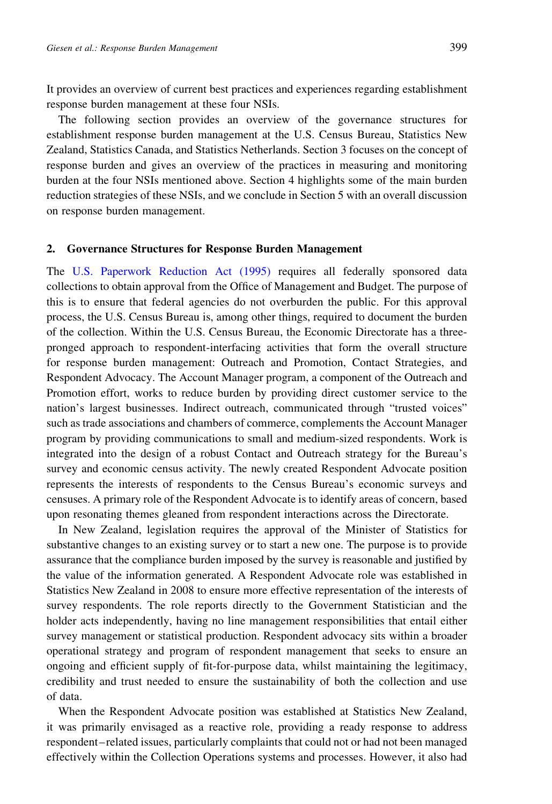It provides an overview of current best practices and experiences regarding establishment response burden management at these four NSIs.

The following section provides an overview of the governance structures for establishment response burden management at the U.S. Census Bureau, Statistics New Zealand, Statistics Canada, and Statistics Netherlands. Section 3 focuses on the concept of response burden and gives an overview of the practices in measuring and monitoring burden at the four NSIs mentioned above. Section 4 highlights some of the main burden reduction strategies of these NSIs, and we conclude in Section 5 with an overall discussion on response burden management.

#### 2. Governance Structures for Response Burden Management

The [U.S. Paperwork Reduction Act \(1995\)](#page-21-0) requires all federally sponsored data collections to obtain approval from the Office of Management and Budget. The purpose of this is to ensure that federal agencies do not overburden the public. For this approval process, the U.S. Census Bureau is, among other things, required to document the burden of the collection. Within the U.S. Census Bureau, the Economic Directorate has a threepronged approach to respondent-interfacing activities that form the overall structure for response burden management: Outreach and Promotion, Contact Strategies, and Respondent Advocacy. The Account Manager program, a component of the Outreach and Promotion effort, works to reduce burden by providing direct customer service to the nation's largest businesses. Indirect outreach, communicated through "trusted voices" such as trade associations and chambers of commerce, complements the Account Manager program by providing communications to small and medium-sized respondents. Work is integrated into the design of a robust Contact and Outreach strategy for the Bureau's survey and economic census activity. The newly created Respondent Advocate position represents the interests of respondents to the Census Bureau's economic surveys and censuses. A primary role of the Respondent Advocate is to identify areas of concern, based upon resonating themes gleaned from respondent interactions across the Directorate.

In New Zealand, legislation requires the approval of the Minister of Statistics for substantive changes to an existing survey or to start a new one. The purpose is to provide assurance that the compliance burden imposed by the survey is reasonable and justified by the value of the information generated. A Respondent Advocate role was established in Statistics New Zealand in 2008 to ensure more effective representation of the interests of survey respondents. The role reports directly to the Government Statistician and the holder acts independently, having no line management responsibilities that entail either survey management or statistical production. Respondent advocacy sits within a broader operational strategy and program of respondent management that seeks to ensure an ongoing and efficient supply of fit-for-purpose data, whilst maintaining the legitimacy, credibility and trust needed to ensure the sustainability of both the collection and use of data.

When the Respondent Advocate position was established at Statistics New Zealand, it was primarily envisaged as a reactive role, providing a ready response to address respondent–related issues, particularly complaints that could not or had not been managed effectively within the Collection Operations systems and processes. However, it also had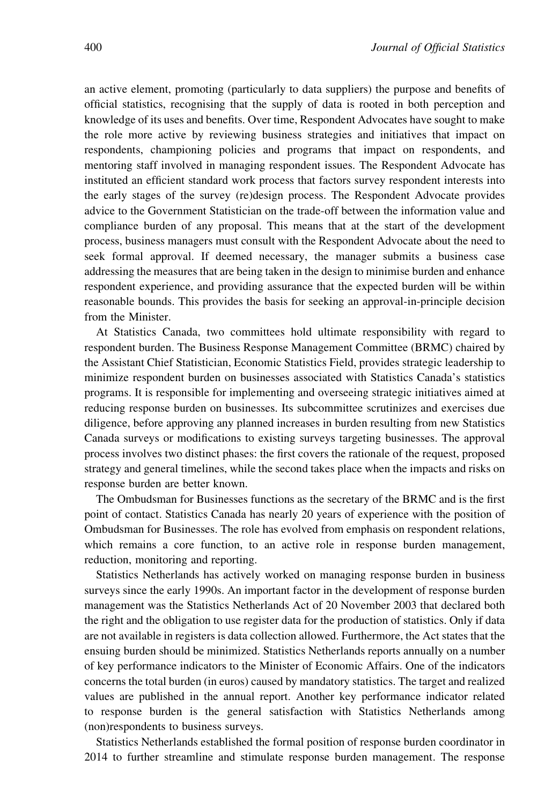an active element, promoting (particularly to data suppliers) the purpose and benefits of official statistics, recognising that the supply of data is rooted in both perception and knowledge of its uses and benefits. Over time, Respondent Advocates have sought to make the role more active by reviewing business strategies and initiatives that impact on respondents, championing policies and programs that impact on respondents, and mentoring staff involved in managing respondent issues. The Respondent Advocate has instituted an efficient standard work process that factors survey respondent interests into the early stages of the survey (re)design process. The Respondent Advocate provides advice to the Government Statistician on the trade-off between the information value and compliance burden of any proposal. This means that at the start of the development process, business managers must consult with the Respondent Advocate about the need to seek formal approval. If deemed necessary, the manager submits a business case addressing the measures that are being taken in the design to minimise burden and enhance respondent experience, and providing assurance that the expected burden will be within reasonable bounds. This provides the basis for seeking an approval-in-principle decision from the Minister.

At Statistics Canada, two committees hold ultimate responsibility with regard to respondent burden. The Business Response Management Committee (BRMC) chaired by the Assistant Chief Statistician, Economic Statistics Field, provides strategic leadership to minimize respondent burden on businesses associated with Statistics Canada's statistics programs. It is responsible for implementing and overseeing strategic initiatives aimed at reducing response burden on businesses. Its subcommittee scrutinizes and exercises due diligence, before approving any planned increases in burden resulting from new Statistics Canada surveys or modifications to existing surveys targeting businesses. The approval process involves two distinct phases: the first covers the rationale of the request, proposed strategy and general timelines, while the second takes place when the impacts and risks on response burden are better known.

The Ombudsman for Businesses functions as the secretary of the BRMC and is the first point of contact. Statistics Canada has nearly 20 years of experience with the position of Ombudsman for Businesses. The role has evolved from emphasis on respondent relations, which remains a core function, to an active role in response burden management, reduction, monitoring and reporting.

Statistics Netherlands has actively worked on managing response burden in business surveys since the early 1990s. An important factor in the development of response burden management was the Statistics Netherlands Act of 20 November 2003 that declared both the right and the obligation to use register data for the production of statistics. Only if data are not available in registers is data collection allowed. Furthermore, the Act states that the ensuing burden should be minimized. Statistics Netherlands reports annually on a number of key performance indicators to the Minister of Economic Affairs. One of the indicators concerns the total burden (in euros) caused by mandatory statistics. The target and realized values are published in the annual report. Another key performance indicator related to response burden is the general satisfaction with Statistics Netherlands among (non)respondents to business surveys.

Statistics Netherlands established the formal position of response burden coordinator in 2014 to further streamline and stimulate response burden management. The response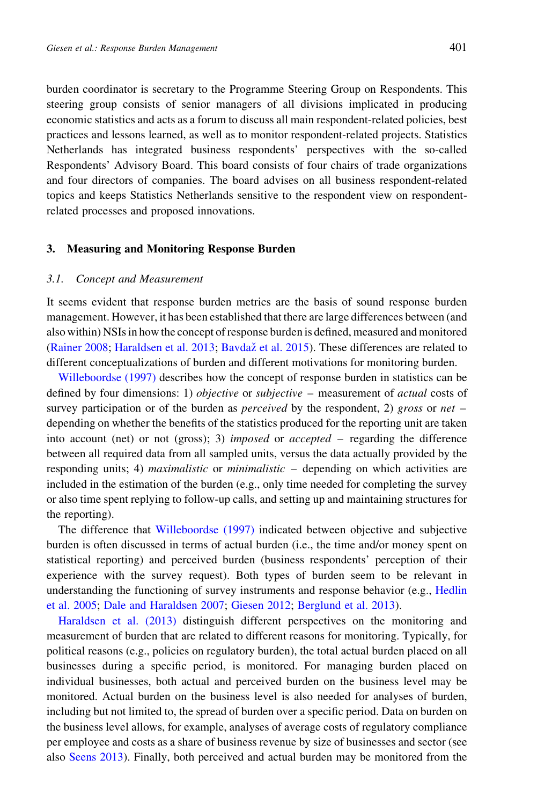burden coordinator is secretary to the Programme Steering Group on Respondents. This steering group consists of senior managers of all divisions implicated in producing economic statistics and acts as a forum to discuss all main respondent-related policies, best practices and lessons learned, as well as to monitor respondent-related projects. Statistics Netherlands has integrated business respondents' perspectives with the so-called Respondents' Advisory Board. This board consists of four chairs of trade organizations and four directors of companies. The board advises on all business respondent-related topics and keeps Statistics Netherlands sensitive to the respondent view on respondentrelated processes and proposed innovations.

#### 3. Measuring and Monitoring Response Burden

## 3.1. Concept and Measurement

It seems evident that response burden metrics are the basis of sound response burden management. However, it has been established that there are large differences between (and also within) NSIs in how the concept of response burden is defined, measured and monitored [\(Rainer 2008](#page-20-0); [Haraldsen et al. 2013](#page-20-0); Bavdaž [et al. 2015\)](#page-18-0). These differences are related to different conceptualizations of burden and different motivations for monitoring burden.

[Willeboordse \(1997\)](#page-21-0) describes how the concept of response burden in statistics can be defined by four dimensions: 1) objective or subjective – measurement of actual costs of survey participation or of the burden as *perceived* by the respondent, 2) gross or net – depending on whether the benefits of the statistics produced for the reporting unit are taken into account (net) or not (gross); 3) imposed or accepted – regarding the difference between all required data from all sampled units, versus the data actually provided by the responding units; 4) maximalistic or minimalistic – depending on which activities are included in the estimation of the burden (e.g., only time needed for completing the survey or also time spent replying to follow-up calls, and setting up and maintaining structures for the reporting).

The difference that [Willeboordse \(1997\)](#page-21-0) indicated between objective and subjective burden is often discussed in terms of actual burden (i.e., the time and/or money spent on statistical reporting) and perceived burden (business respondents' perception of their experience with the survey request). Both types of burden seem to be relevant in understanding the functioning of survey instruments and response behavior (e.g., [Hedlin](#page-20-0) [et al. 2005;](#page-20-0) [Dale and Haraldsen 2007](#page-19-0); [Giesen 2012;](#page-19-0) [Berglund et al. 2013\)](#page-18-0).

[Haraldsen et al. \(2013\)](#page-20-0) distinguish different perspectives on the monitoring and measurement of burden that are related to different reasons for monitoring. Typically, for political reasons (e.g., policies on regulatory burden), the total actual burden placed on all businesses during a specific period, is monitored. For managing burden placed on individual businesses, both actual and perceived burden on the business level may be monitored. Actual burden on the business level is also needed for analyses of burden, including but not limited to, the spread of burden over a specific period. Data on burden on the business level allows, for example, analyses of average costs of regulatory compliance per employee and costs as a share of business revenue by size of businesses and sector (see also [Seens 2013](#page-21-0)). Finally, both perceived and actual burden may be monitored from the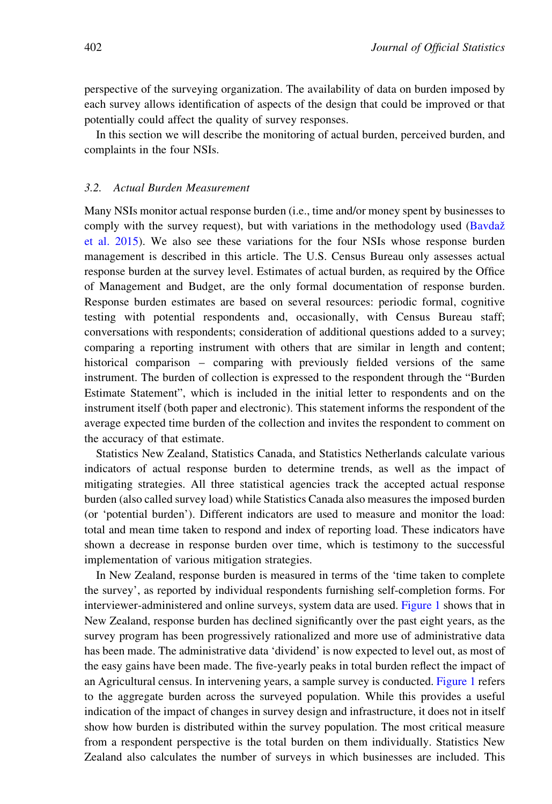perspective of the surveying organization. The availability of data on burden imposed by each survey allows identification of aspects of the design that could be improved or that potentially could affect the quality of survey responses.

In this section we will describe the monitoring of actual burden, perceived burden, and complaints in the four NSIs.

## 3.2. Actual Burden Measurement

Many NSIs monitor actual response burden (i.e., time and/or money spent by businesses to comply with the survey request), but with variations in the methodology used (Bavdaž [et al. 2015](#page-18-0)). We also see these variations for the four NSIs whose response burden management is described in this article. The U.S. Census Bureau only assesses actual response burden at the survey level. Estimates of actual burden, as required by the Office of Management and Budget, are the only formal documentation of response burden. Response burden estimates are based on several resources: periodic formal, cognitive testing with potential respondents and, occasionally, with Census Bureau staff; conversations with respondents; consideration of additional questions added to a survey; comparing a reporting instrument with others that are similar in length and content; historical comparison – comparing with previously fielded versions of the same instrument. The burden of collection is expressed to the respondent through the "Burden Estimate Statement", which is included in the initial letter to respondents and on the instrument itself (both paper and electronic). This statement informs the respondent of the average expected time burden of the collection and invites the respondent to comment on the accuracy of that estimate.

Statistics New Zealand, Statistics Canada, and Statistics Netherlands calculate various indicators of actual response burden to determine trends, as well as the impact of mitigating strategies. All three statistical agencies track the accepted actual response burden (also called survey load) while Statistics Canada also measures the imposed burden (or 'potential burden'). Different indicators are used to measure and monitor the load: total and mean time taken to respond and index of reporting load. These indicators have shown a decrease in response burden over time, which is testimony to the successful implementation of various mitigation strategies.

In New Zealand, response burden is measured in terms of the 'time taken to complete the survey', as reported by individual respondents furnishing self-completion forms. For interviewer-administered and online surveys, system data are used. [Figure 1](#page-6-0) shows that in New Zealand, response burden has declined significantly over the past eight years, as the survey program has been progressively rationalized and more use of administrative data has been made. The administrative data 'dividend' is now expected to level out, as most of the easy gains have been made. The five-yearly peaks in total burden reflect the impact of an Agricultural census. In intervening years, a sample survey is conducted. [Figure 1](#page-6-0) refers to the aggregate burden across the surveyed population. While this provides a useful indication of the impact of changes in survey design and infrastructure, it does not in itself show how burden is distributed within the survey population. The most critical measure from a respondent perspective is the total burden on them individually. Statistics New Zealand also calculates the number of surveys in which businesses are included. This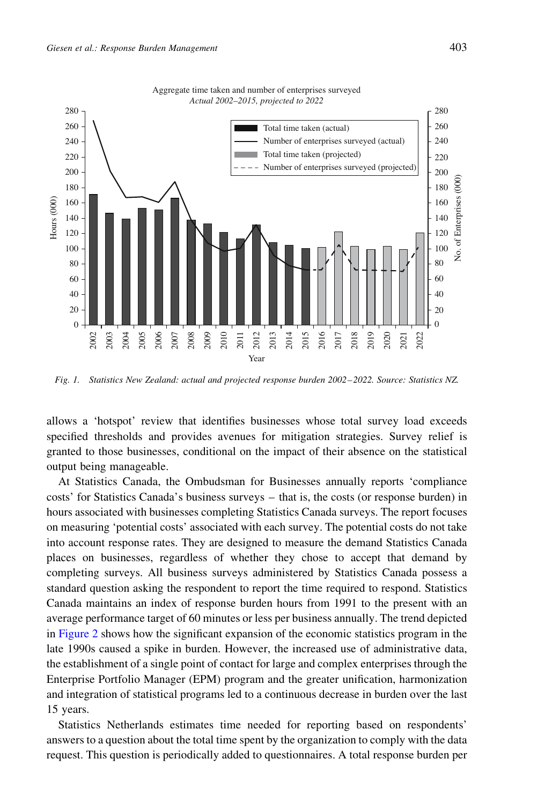<span id="page-6-0"></span>

Fig. 1. Statistics New Zealand: actual and projected response burden 2002–2022. Source: Statistics NZ.

allows a 'hotspot' review that identifies businesses whose total survey load exceeds specified thresholds and provides avenues for mitigation strategies. Survey relief is granted to those businesses, conditional on the impact of their absence on the statistical output being manageable.

At Statistics Canada, the Ombudsman for Businesses annually reports 'compliance costs' for Statistics Canada's business surveys – that is, the costs (or response burden) in hours associated with businesses completing Statistics Canada surveys. The report focuses on measuring 'potential costs' associated with each survey. The potential costs do not take into account response rates. They are designed to measure the demand Statistics Canada places on businesses, regardless of whether they chose to accept that demand by completing surveys. All business surveys administered by Statistics Canada possess a standard question asking the respondent to report the time required to respond. Statistics Canada maintains an index of response burden hours from 1991 to the present with an average performance target of 60 minutes or less per business annually. The trend depicted in [Figure 2](#page-7-0) shows how the significant expansion of the economic statistics program in the late 1990s caused a spike in burden. However, the increased use of administrative data, the establishment of a single point of contact for large and complex enterprises through the Enterprise Portfolio Manager (EPM) program and the greater unification, harmonization and integration of statistical programs led to a continuous decrease in burden over the last 15 years.

Statistics Netherlands estimates time needed for reporting based on respondents' answers to a question about the total time spent by the organization to comply with the data request. This question is periodically added to questionnaires. A total response burden per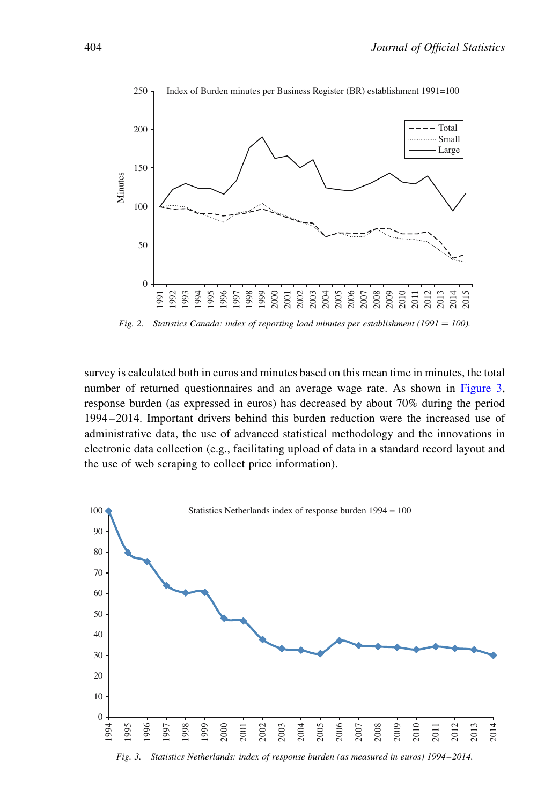<span id="page-7-0"></span>

Fig. 2. Statistics Canada: index of reporting load minutes per establishment (1991 = 100).

survey is calculated both in euros and minutes based on this mean time in minutes, the total number of returned questionnaires and an average wage rate. As shown in Figure 3, response burden (as expressed in euros) has decreased by about 70% during the period 1994–2014. Important drivers behind this burden reduction were the increased use of administrative data, the use of advanced statistical methodology and the innovations in electronic data collection (e.g., facilitating upload of data in a standard record layout and the use of web scraping to collect price information).



Fig. 3. Statistics Netherlands: index of response burden (as measured in euros) 1994–2014.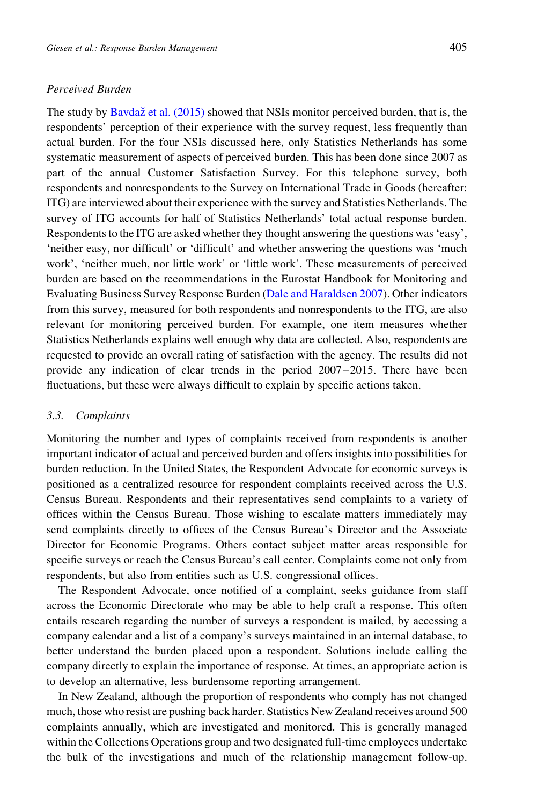# Perceived Burden

The study by Bavdaž [et al. \(2015\)](#page-18-0) showed that NSIs monitor perceived burden, that is, the respondents' perception of their experience with the survey request, less frequently than actual burden. For the four NSIs discussed here, only Statistics Netherlands has some systematic measurement of aspects of perceived burden. This has been done since 2007 as part of the annual Customer Satisfaction Survey. For this telephone survey, both respondents and nonrespondents to the Survey on International Trade in Goods (hereafter: ITG) are interviewed about their experience with the survey and Statistics Netherlands. The survey of ITG accounts for half of Statistics Netherlands' total actual response burden. Respondents to the ITG are asked whether they thought answering the questions was 'easy', 'neither easy, nor difficult' or 'difficult' and whether answering the questions was 'much work', 'neither much, nor little work' or 'little work'. These measurements of perceived burden are based on the recommendations in the Eurostat Handbook for Monitoring and Evaluating Business Survey Response Burden [\(Dale and Haraldsen 2007\)](#page-19-0). Other indicators from this survey, measured for both respondents and nonrespondents to the ITG, are also relevant for monitoring perceived burden. For example, one item measures whether Statistics Netherlands explains well enough why data are collected. Also, respondents are requested to provide an overall rating of satisfaction with the agency. The results did not provide any indication of clear trends in the period 2007–2015. There have been fluctuations, but these were always difficult to explain by specific actions taken.

## 3.3. Complaints

Monitoring the number and types of complaints received from respondents is another important indicator of actual and perceived burden and offers insights into possibilities for burden reduction. In the United States, the Respondent Advocate for economic surveys is positioned as a centralized resource for respondent complaints received across the U.S. Census Bureau. Respondents and their representatives send complaints to a variety of offices within the Census Bureau. Those wishing to escalate matters immediately may send complaints directly to offices of the Census Bureau's Director and the Associate Director for Economic Programs. Others contact subject matter areas responsible for specific surveys or reach the Census Bureau's call center. Complaints come not only from respondents, but also from entities such as U.S. congressional offices.

The Respondent Advocate, once notified of a complaint, seeks guidance from staff across the Economic Directorate who may be able to help craft a response. This often entails research regarding the number of surveys a respondent is mailed, by accessing a company calendar and a list of a company's surveys maintained in an internal database, to better understand the burden placed upon a respondent. Solutions include calling the company directly to explain the importance of response. At times, an appropriate action is to develop an alternative, less burdensome reporting arrangement.

In New Zealand, although the proportion of respondents who comply has not changed much, those who resist are pushing back harder. Statistics New Zealand receives around 500 complaints annually, which are investigated and monitored. This is generally managed within the Collections Operations group and two designated full-time employees undertake the bulk of the investigations and much of the relationship management follow-up.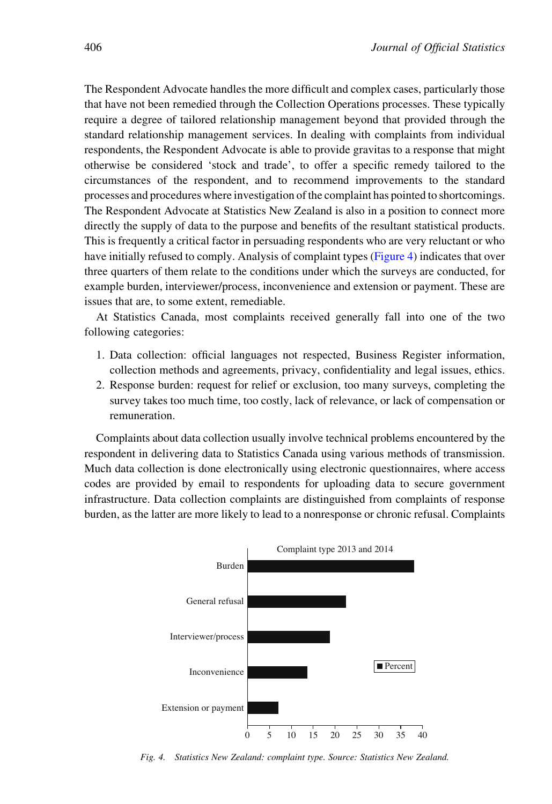The Respondent Advocate handles the more difficult and complex cases, particularly those that have not been remedied through the Collection Operations processes. These typically require a degree of tailored relationship management beyond that provided through the standard relationship management services. In dealing with complaints from individual respondents, the Respondent Advocate is able to provide gravitas to a response that might otherwise be considered 'stock and trade', to offer a specific remedy tailored to the circumstances of the respondent, and to recommend improvements to the standard processes and procedures where investigation of the complaint has pointed to shortcomings. The Respondent Advocate at Statistics New Zealand is also in a position to connect more directly the supply of data to the purpose and benefits of the resultant statistical products. This is frequently a critical factor in persuading respondents who are very reluctant or who have initially refused to comply. Analysis of complaint types (Figure 4) indicates that over three quarters of them relate to the conditions under which the surveys are conducted, for example burden, interviewer/process, inconvenience and extension or payment. These are issues that are, to some extent, remediable.

At Statistics Canada, most complaints received generally fall into one of the two following categories:

- 1. Data collection: official languages not respected, Business Register information, collection methods and agreements, privacy, confidentiality and legal issues, ethics.
- 2. Response burden: request for relief or exclusion, too many surveys, completing the survey takes too much time, too costly, lack of relevance, or lack of compensation or remuneration.

Complaints about data collection usually involve technical problems encountered by the respondent in delivering data to Statistics Canada using various methods of transmission. Much data collection is done electronically using electronic questionnaires, where access codes are provided by email to respondents for uploading data to secure government infrastructure. Data collection complaints are distinguished from complaints of response burden, as the latter are more likely to lead to a nonresponse or chronic refusal. Complaints



Fig. 4. Statistics New Zealand: complaint type. Source: Statistics New Zealand.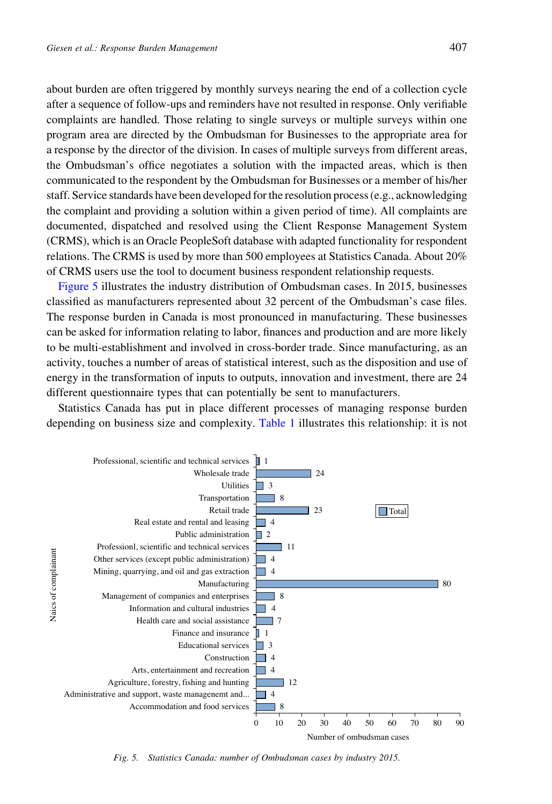about burden are often triggered by monthly surveys nearing the end of a collection cycle after a sequence of follow-ups and reminders have not resulted in response. Only verifiable complaints are handled. Those relating to single surveys or multiple surveys within one program area are directed by the Ombudsman for Businesses to the appropriate area for a response by the director of the division. In cases of multiple surveys from different areas, the Ombudsman's office negotiates a solution with the impacted areas, which is then communicated to the respondent by the Ombudsman for Businesses or a member of his/her staff. Service standards have been developed for the resolution process (e.g., acknowledging the complaint and providing a solution within a given period of time). All complaints are documented, dispatched and resolved using the Client Response Management System (CRMS), which is an Oracle PeopleSoft database with adapted functionality for respondent relations. The CRMS is used by more than 500 employees at Statistics Canada. About 20% of CRMS users use the tool to document business respondent relationship requests.

Figure 5 illustrates the industry distribution of Ombudsman cases. In 2015, businesses classified as manufacturers represented about 32 percent of the Ombudsman's case files. The response burden in Canada is most pronounced in manufacturing. These businesses can be asked for information relating to labor, finances and production and are more likely to be multi-establishment and involved in cross-border trade. Since manufacturing, as an activity, touches a number of areas of statistical interest, such as the disposition and use of energy in the transformation of inputs to outputs, innovation and investment, there are 24 different questionnaire types that can potentially be sent to manufacturers.

Statistics Canada has put in place different processes of managing response burden depending on business size and complexity. [Table 1](#page-11-0) illustrates this relationship: it is not



Fig. 5. Statistics Canada: number of Ombudsman cases by industry 2015.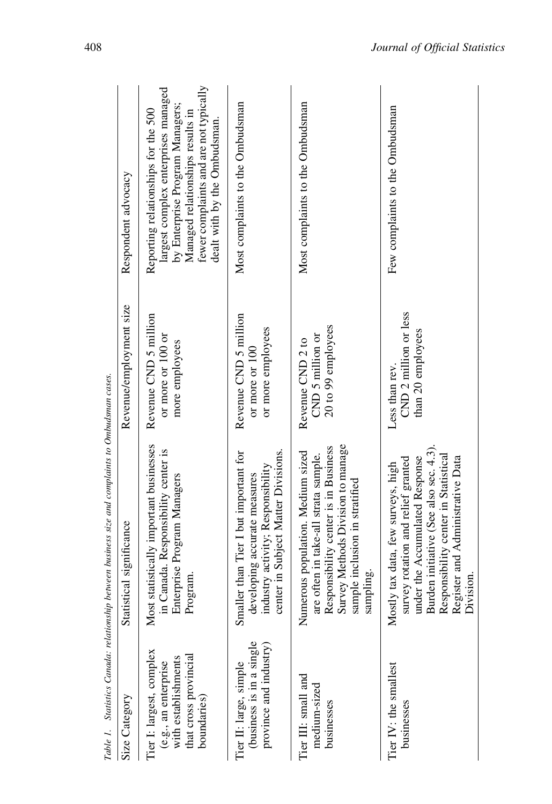<span id="page-11-0"></span>

|                                                                                                                 | Table 1. Statistics Canada: relationship between business size and complaints to Ombudsman cases.                                                                                                                                             |                                                              |                                                                                                                                                                                                                             |
|-----------------------------------------------------------------------------------------------------------------|-----------------------------------------------------------------------------------------------------------------------------------------------------------------------------------------------------------------------------------------------|--------------------------------------------------------------|-----------------------------------------------------------------------------------------------------------------------------------------------------------------------------------------------------------------------------|
| Size Category                                                                                                   | Statistical significance                                                                                                                                                                                                                      | Revenue/employment size                                      | Respondent advocacy                                                                                                                                                                                                         |
| Tier I: largest, complex<br>that cross provincial<br>(e.g., an enterprise<br>with establishments<br>boundaries) | Most statistically important businesses<br>in Canada. Responsibility center is<br>Enterprise Program Managers<br>Program.                                                                                                                     | Revenue CND 5 million<br>or more or 100 or<br>more employees | fewer complaints and are not typically<br>largest complex enterprises managed<br>by Enterprise Program Managers;<br>Reporting relationships for the 500<br>Managed relationships results in<br>dealt with by the Ombudsman. |
| (business is in a single<br>province and industry)<br>Tier II: large, simple                                    | center in Subject Matter Divisions.<br>Smaller than Tier I but important for<br>industry activity; Responsibility<br>leveloping accurate measures                                                                                             | Revenue CND 5 million<br>or more employees<br>or more or 100 | Most complaints to the Ombudsman                                                                                                                                                                                            |
| Tier III: small and<br>medium-sized<br>businesses                                                               | are often in take-all strata sample.<br>Responsibility center is in Business<br>Survey Methods Division to manage<br>Numerous population. Medium sized<br>sample inclusion in stratified<br>sampling.                                         | 20 to 99 employees<br>$CND$ 5 million or<br>Revenue CND 2 to | Most complaints to the Ombudsman                                                                                                                                                                                            |
| Tier IV: the smallest<br>businesses                                                                             | Burden initiative (See also sec. 4.3).<br>Responsibility center in Statistical<br>under the Accumulated Response<br>Register and Administrative Data<br>survey rotation and relief granted<br>Mostly tax data, few surveys, high<br>Division. | CND 2 million or less<br>than 20 employees<br>Less than rev. | Few complaints to the Ombudsman                                                                                                                                                                                             |
|                                                                                                                 |                                                                                                                                                                                                                                               |                                                              |                                                                                                                                                                                                                             |

J, J. ć  $\ddot{\phantom{a}}$  $\overline{a}$  $\ddot{\phantom{1}}$ J. Ŀ, J. l, Å  $\ddot{\phantom{a}}$ J,  $\overline{a}$  $\vec{r}$  $\ddot{\phantom{a}}$  $\cdot$ ં  $\overline{\phantom{a}}$  $Tahla$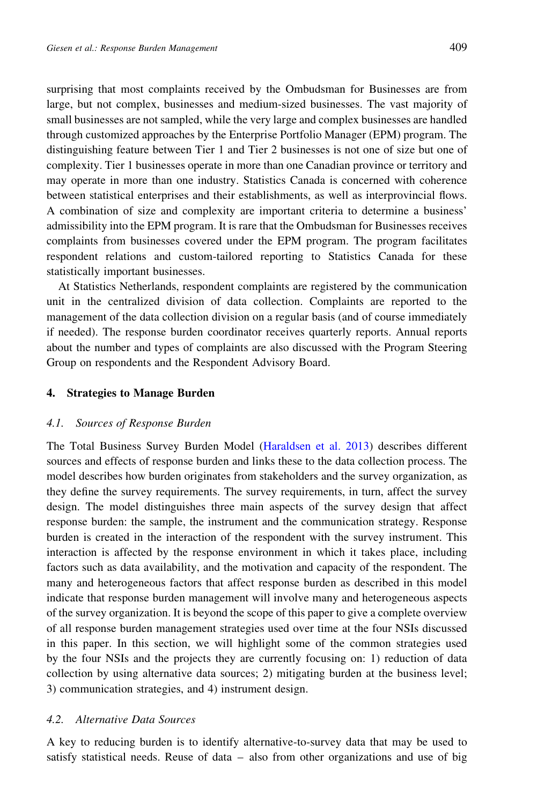surprising that most complaints received by the Ombudsman for Businesses are from large, but not complex, businesses and medium-sized businesses. The vast majority of small businesses are not sampled, while the very large and complex businesses are handled through customized approaches by the Enterprise Portfolio Manager (EPM) program. The distinguishing feature between Tier 1 and Tier 2 businesses is not one of size but one of complexity. Tier 1 businesses operate in more than one Canadian province or territory and may operate in more than one industry. Statistics Canada is concerned with coherence between statistical enterprises and their establishments, as well as interprovincial flows. A combination of size and complexity are important criteria to determine a business' admissibility into the EPM program. It is rare that the Ombudsman for Businesses receives complaints from businesses covered under the EPM program. The program facilitates respondent relations and custom-tailored reporting to Statistics Canada for these statistically important businesses.

At Statistics Netherlands, respondent complaints are registered by the communication unit in the centralized division of data collection. Complaints are reported to the management of the data collection division on a regular basis (and of course immediately if needed). The response burden coordinator receives quarterly reports. Annual reports about the number and types of complaints are also discussed with the Program Steering Group on respondents and the Respondent Advisory Board.

## 4. Strategies to Manage Burden

## 4.1. Sources of Response Burden

The Total Business Survey Burden Model ([Haraldsen et al. 2013\)](#page-20-0) describes different sources and effects of response burden and links these to the data collection process. The model describes how burden originates from stakeholders and the survey organization, as they define the survey requirements. The survey requirements, in turn, affect the survey design. The model distinguishes three main aspects of the survey design that affect response burden: the sample, the instrument and the communication strategy. Response burden is created in the interaction of the respondent with the survey instrument. This interaction is affected by the response environment in which it takes place, including factors such as data availability, and the motivation and capacity of the respondent. The many and heterogeneous factors that affect response burden as described in this model indicate that response burden management will involve many and heterogeneous aspects of the survey organization. It is beyond the scope of this paper to give a complete overview of all response burden management strategies used over time at the four NSIs discussed in this paper. In this section, we will highlight some of the common strategies used by the four NSIs and the projects they are currently focusing on: 1) reduction of data collection by using alternative data sources; 2) mitigating burden at the business level; 3) communication strategies, and 4) instrument design.

# 4.2. Alternative Data Sources

A key to reducing burden is to identify alternative-to-survey data that may be used to satisfy statistical needs. Reuse of data – also from other organizations and use of big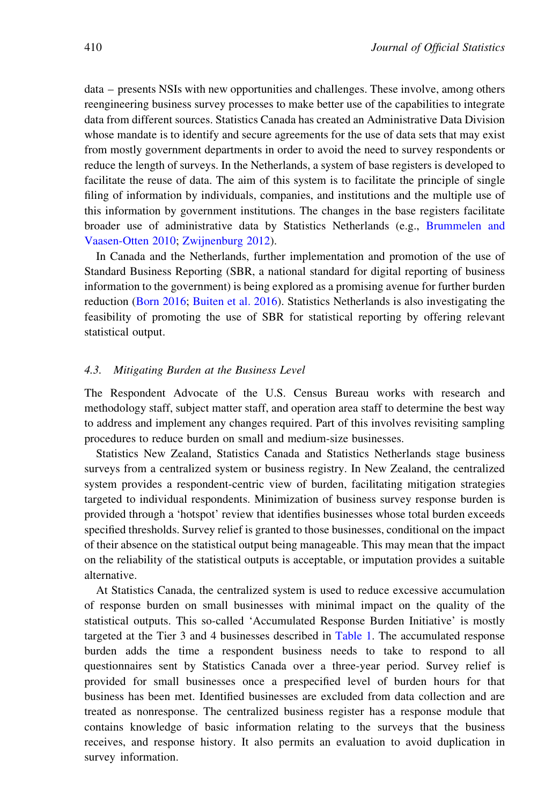data – presents NSIs with new opportunities and challenges. These involve, among others reengineering business survey processes to make better use of the capabilities to integrate data from different sources. Statistics Canada has created an Administrative Data Division whose mandate is to identify and secure agreements for the use of data sets that may exist from mostly government departments in order to avoid the need to survey respondents or reduce the length of surveys. In the Netherlands, a system of base registers is developed to facilitate the reuse of data. The aim of this system is to facilitate the principle of single filing of information by individuals, companies, and institutions and the multiple use of this information by government institutions. The changes in the base registers facilitate broader use of administrative data by Statistics Netherlands (e.g., [Brummelen and](#page-19-0) [Vaasen-Otten 2010;](#page-19-0) [Zwijnenburg 2012](#page-21-0)).

In Canada and the Netherlands, further implementation and promotion of the use of Standard Business Reporting (SBR, a national standard for digital reporting of business information to the government) is being explored as a promising avenue for further burden reduction ([Born 2016;](#page-18-0) [Buiten et al. 2016](#page-19-0)). Statistics Netherlands is also investigating the feasibility of promoting the use of SBR for statistical reporting by offering relevant statistical output.

## 4.3. Mitigating Burden at the Business Level

The Respondent Advocate of the U.S. Census Bureau works with research and methodology staff, subject matter staff, and operation area staff to determine the best way to address and implement any changes required. Part of this involves revisiting sampling procedures to reduce burden on small and medium-size businesses.

Statistics New Zealand, Statistics Canada and Statistics Netherlands stage business surveys from a centralized system or business registry. In New Zealand, the centralized system provides a respondent-centric view of burden, facilitating mitigation strategies targeted to individual respondents. Minimization of business survey response burden is provided through a 'hotspot' review that identifies businesses whose total burden exceeds specified thresholds. Survey relief is granted to those businesses, conditional on the impact of their absence on the statistical output being manageable. This may mean that the impact on the reliability of the statistical outputs is acceptable, or imputation provides a suitable alternative.

At Statistics Canada, the centralized system is used to reduce excessive accumulation of response burden on small businesses with minimal impact on the quality of the statistical outputs. This so-called 'Accumulated Response Burden Initiative' is mostly targeted at the Tier 3 and 4 businesses described in [Table 1](#page-11-0). The accumulated response burden adds the time a respondent business needs to take to respond to all questionnaires sent by Statistics Canada over a three-year period. Survey relief is provided for small businesses once a prespecified level of burden hours for that business has been met. Identified businesses are excluded from data collection and are treated as nonresponse. The centralized business register has a response module that contains knowledge of basic information relating to the surveys that the business receives, and response history. It also permits an evaluation to avoid duplication in survey information.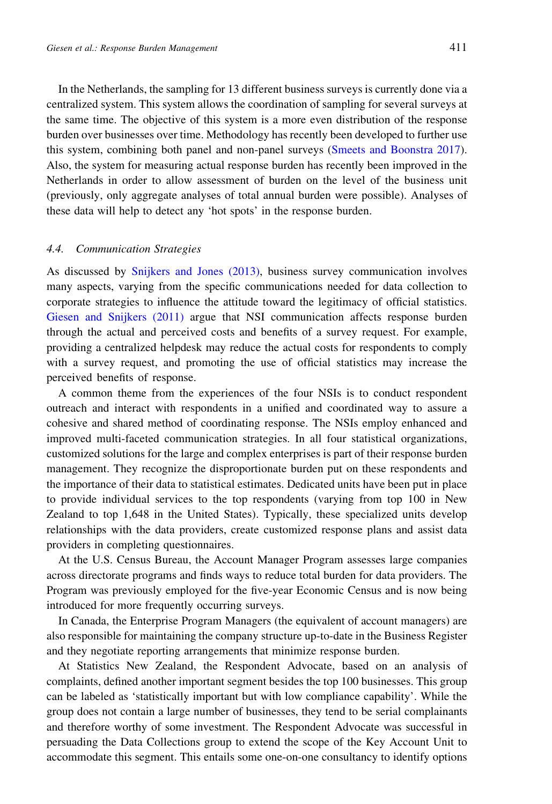In the Netherlands, the sampling for 13 different business surveys is currently done via a centralized system. This system allows the coordination of sampling for several surveys at the same time. The objective of this system is a more even distribution of the response burden over businesses over time. Methodology has recently been developed to further use this system, combining both panel and non-panel surveys ([Smeets and Boonstra 2017\)](#page-21-0). Also, the system for measuring actual response burden has recently been improved in the Netherlands in order to allow assessment of burden on the level of the business unit (previously, only aggregate analyses of total annual burden were possible). Analyses of these data will help to detect any 'hot spots' in the response burden.

#### 4.4. Communication Strategies

As discussed by [Snijkers and Jones \(2013\)](#page-21-0), business survey communication involves many aspects, varying from the specific communications needed for data collection to corporate strategies to influence the attitude toward the legitimacy of official statistics. [Giesen and Snijkers \(2011\)](#page-20-0) argue that NSI communication affects response burden through the actual and perceived costs and benefits of a survey request. For example, providing a centralized helpdesk may reduce the actual costs for respondents to comply with a survey request, and promoting the use of official statistics may increase the perceived benefits of response.

A common theme from the experiences of the four NSIs is to conduct respondent outreach and interact with respondents in a unified and coordinated way to assure a cohesive and shared method of coordinating response. The NSIs employ enhanced and improved multi-faceted communication strategies. In all four statistical organizations, customized solutions for the large and complex enterprises is part of their response burden management. They recognize the disproportionate burden put on these respondents and the importance of their data to statistical estimates. Dedicated units have been put in place to provide individual services to the top respondents (varying from top 100 in New Zealand to top 1,648 in the United States). Typically, these specialized units develop relationships with the data providers, create customized response plans and assist data providers in completing questionnaires.

At the U.S. Census Bureau, the Account Manager Program assesses large companies across directorate programs and finds ways to reduce total burden for data providers. The Program was previously employed for the five-year Economic Census and is now being introduced for more frequently occurring surveys.

In Canada, the Enterprise Program Managers (the equivalent of account managers) are also responsible for maintaining the company structure up-to-date in the Business Register and they negotiate reporting arrangements that minimize response burden.

At Statistics New Zealand, the Respondent Advocate, based on an analysis of complaints, defined another important segment besides the top 100 businesses. This group can be labeled as 'statistically important but with low compliance capability'. While the group does not contain a large number of businesses, they tend to be serial complainants and therefore worthy of some investment. The Respondent Advocate was successful in persuading the Data Collections group to extend the scope of the Key Account Unit to accommodate this segment. This entails some one-on-one consultancy to identify options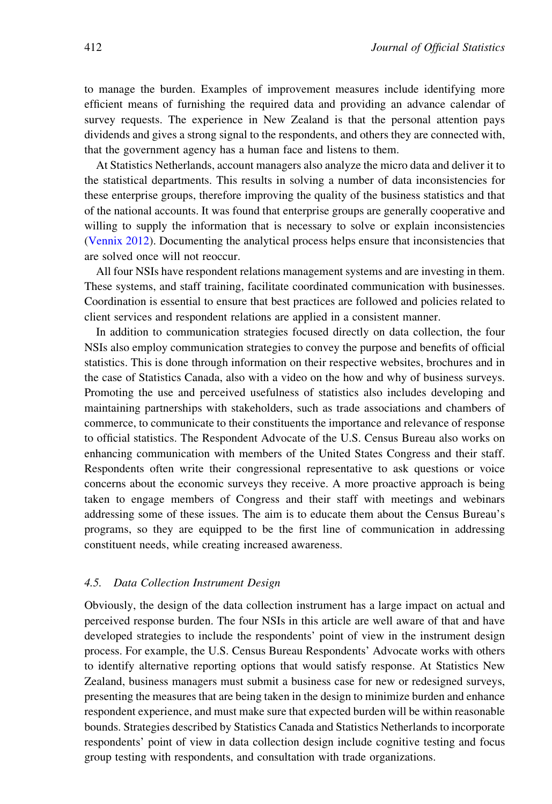to manage the burden. Examples of improvement measures include identifying more efficient means of furnishing the required data and providing an advance calendar of survey requests. The experience in New Zealand is that the personal attention pays dividends and gives a strong signal to the respondents, and others they are connected with, that the government agency has a human face and listens to them.

At Statistics Netherlands, account managers also analyze the micro data and deliver it to the statistical departments. This results in solving a number of data inconsistencies for these enterprise groups, therefore improving the quality of the business statistics and that of the national accounts. It was found that enterprise groups are generally cooperative and willing to supply the information that is necessary to solve or explain inconsistencies [\(Vennix 2012](#page-21-0)). Documenting the analytical process helps ensure that inconsistencies that are solved once will not reoccur.

All four NSIs have respondent relations management systems and are investing in them. These systems, and staff training, facilitate coordinated communication with businesses. Coordination is essential to ensure that best practices are followed and policies related to client services and respondent relations are applied in a consistent manner.

In addition to communication strategies focused directly on data collection, the four NSIs also employ communication strategies to convey the purpose and benefits of official statistics. This is done through information on their respective websites, brochures and in the case of Statistics Canada, also with a video on the how and why of business surveys. Promoting the use and perceived usefulness of statistics also includes developing and maintaining partnerships with stakeholders, such as trade associations and chambers of commerce, to communicate to their constituents the importance and relevance of response to official statistics. The Respondent Advocate of the U.S. Census Bureau also works on enhancing communication with members of the United States Congress and their staff. Respondents often write their congressional representative to ask questions or voice concerns about the economic surveys they receive. A more proactive approach is being taken to engage members of Congress and their staff with meetings and webinars addressing some of these issues. The aim is to educate them about the Census Bureau's programs, so they are equipped to be the first line of communication in addressing constituent needs, while creating increased awareness.

### 4.5. Data Collection Instrument Design

Obviously, the design of the data collection instrument has a large impact on actual and perceived response burden. The four NSIs in this article are well aware of that and have developed strategies to include the respondents' point of view in the instrument design process. For example, the U.S. Census Bureau Respondents' Advocate works with others to identify alternative reporting options that would satisfy response. At Statistics New Zealand, business managers must submit a business case for new or redesigned surveys, presenting the measures that are being taken in the design to minimize burden and enhance respondent experience, and must make sure that expected burden will be within reasonable bounds. Strategies described by Statistics Canada and Statistics Netherlands to incorporate respondents' point of view in data collection design include cognitive testing and focus group testing with respondents, and consultation with trade organizations.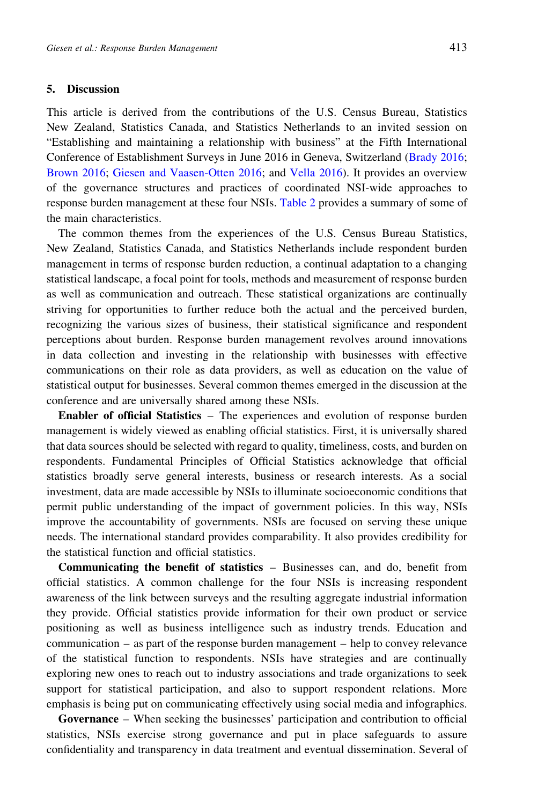# 5. Discussion

This article is derived from the contributions of the U.S. Census Bureau, Statistics New Zealand, Statistics Canada, and Statistics Netherlands to an invited session on "Establishing and maintaining a relationship with business" at the Fifth International Conference of Establishment Surveys in June 2016 in Geneva, Switzerland [\(Brady 2016;](#page-18-0) [Brown 2016](#page-19-0); [Giesen and Vaasen-Otten 2016](#page-20-0); and [Vella 2016](#page-21-0)). It provides an overview of the governance structures and practices of coordinated NSI-wide approaches to response burden management at these four NSIs. [Table 2](#page-17-0) provides a summary of some of the main characteristics.

The common themes from the experiences of the U.S. Census Bureau Statistics, New Zealand, Statistics Canada, and Statistics Netherlands include respondent burden management in terms of response burden reduction, a continual adaptation to a changing statistical landscape, a focal point for tools, methods and measurement of response burden as well as communication and outreach. These statistical organizations are continually striving for opportunities to further reduce both the actual and the perceived burden, recognizing the various sizes of business, their statistical significance and respondent perceptions about burden. Response burden management revolves around innovations in data collection and investing in the relationship with businesses with effective communications on their role as data providers, as well as education on the value of statistical output for businesses. Several common themes emerged in the discussion at the conference and are universally shared among these NSIs.

Enabler of official Statistics – The experiences and evolution of response burden management is widely viewed as enabling official statistics. First, it is universally shared that data sources should be selected with regard to quality, timeliness, costs, and burden on respondents. Fundamental Principles of Official Statistics acknowledge that official statistics broadly serve general interests, business or research interests. As a social investment, data are made accessible by NSIs to illuminate socioeconomic conditions that permit public understanding of the impact of government policies. In this way, NSIs improve the accountability of governments. NSIs are focused on serving these unique needs. The international standard provides comparability. It also provides credibility for the statistical function and official statistics.

Communicating the benefit of statistics – Businesses can, and do, benefit from official statistics. A common challenge for the four NSIs is increasing respondent awareness of the link between surveys and the resulting aggregate industrial information they provide. Official statistics provide information for their own product or service positioning as well as business intelligence such as industry trends. Education and communication – as part of the response burden management – help to convey relevance of the statistical function to respondents. NSIs have strategies and are continually exploring new ones to reach out to industry associations and trade organizations to seek support for statistical participation, and also to support respondent relations. More emphasis is being put on communicating effectively using social media and infographics.

Governance – When seeking the businesses' participation and contribution to official statistics, NSIs exercise strong governance and put in place safeguards to assure confidentiality and transparency in data treatment and eventual dissemination. Several of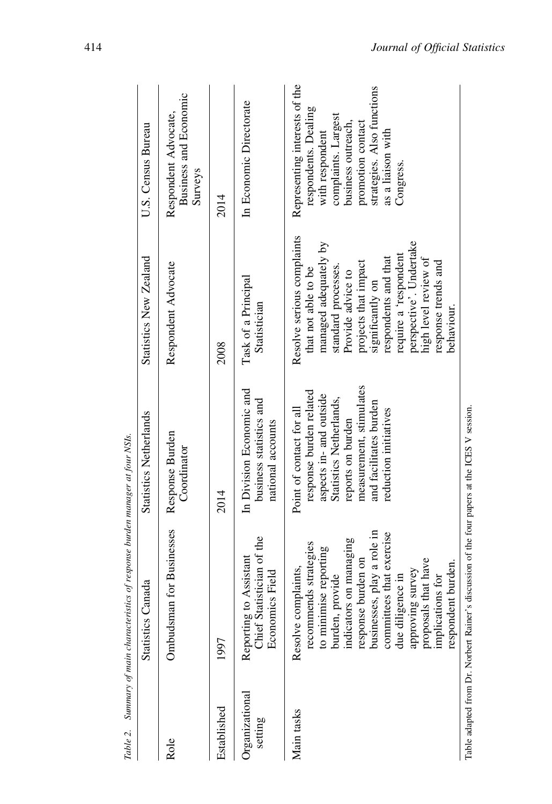| Table 2.                               | Summary of main characteristics of response burden manager at four NSIs.                                                                                                                                                                                                                                    |                                                                                                                                                                                                              |                                                                                                                                                                                                                                                                                                             |                                                                                                                                                                                                            |
|----------------------------------------|-------------------------------------------------------------------------------------------------------------------------------------------------------------------------------------------------------------------------------------------------------------------------------------------------------------|--------------------------------------------------------------------------------------------------------------------------------------------------------------------------------------------------------------|-------------------------------------------------------------------------------------------------------------------------------------------------------------------------------------------------------------------------------------------------------------------------------------------------------------|------------------------------------------------------------------------------------------------------------------------------------------------------------------------------------------------------------|
|                                        | Janada<br><b>Statistics</b>                                                                                                                                                                                                                                                                                 | Statistics Netherlands                                                                                                                                                                                       | Statistics New Zealand                                                                                                                                                                                                                                                                                      | U.S. Census Bureau                                                                                                                                                                                         |
| Role                                   | Ombudsman for Businesses                                                                                                                                                                                                                                                                                    | Response Burden<br>Coordinator                                                                                                                                                                               | Respondent Advocate                                                                                                                                                                                                                                                                                         | Business and Economic<br>Respondent Advocate,<br>Surveys                                                                                                                                                   |
| Established                            | 1997                                                                                                                                                                                                                                                                                                        | 2014                                                                                                                                                                                                         | 2008                                                                                                                                                                                                                                                                                                        | 2014                                                                                                                                                                                                       |
| Organizational<br>setting              | Reporting to Assistant<br>Chief Statistician of the<br>Economics Field                                                                                                                                                                                                                                      | In Division Economic and<br>business statistics and<br>national accounts                                                                                                                                     | Task of a Principal<br>Statistician                                                                                                                                                                                                                                                                         | In Economic Directorate                                                                                                                                                                                    |
| Main tasks                             | businesses, play a role in<br>committees that exercise<br>indicators on managing<br>recommends strategies<br>to minimise reporting<br>response burden on<br>proposals that have<br>respondent burden.<br>Resolve complaints,<br>approving survey<br>burden, provide<br>due diligence in<br>implications for | measurement, stimulates<br>response burden related<br>aspects in- and outside<br>Statistics Netherlands,<br>and facilitates burden<br>Point of contact for all<br>reduction initiatives<br>reports on burden | Resolve serious complaints<br>perspective'. Undertake<br>managed adequately by<br>require a 'respondent<br>respondents and that<br>high level review of<br>projects that impact<br>response trends and<br>standard processes.<br>that not able to be<br>Provide advice to<br>significantly on<br>behaviour. | Representing interests of the<br>strategies. Also functions<br>respondents. Dealing<br>complaints. Largest<br>promotion contact<br>business outreach,<br>with respondent<br>as a liaison with<br>Congress. |
| Table adapted from Dr. Norbert Rainer' |                                                                                                                                                                                                                                                                                                             | 's discussion of the four papers at the ICES V session.                                                                                                                                                      |                                                                                                                                                                                                                                                                                                             |                                                                                                                                                                                                            |

<span id="page-17-0"></span>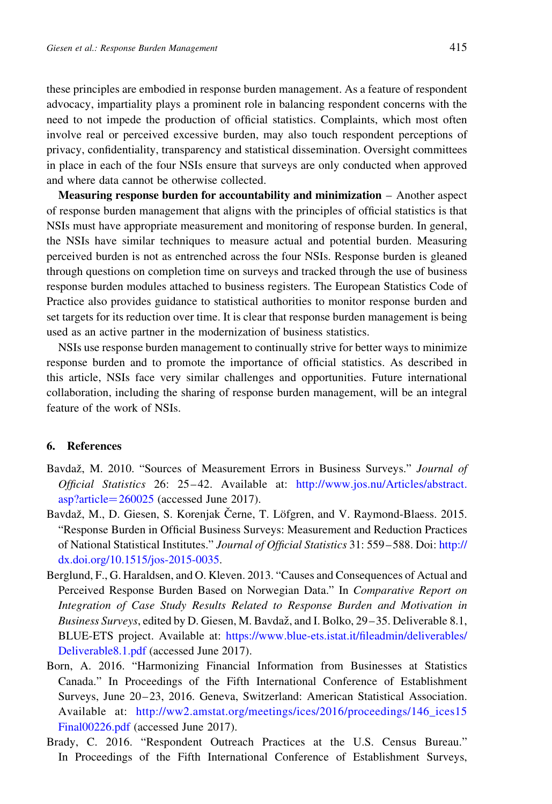<span id="page-18-0"></span>these principles are embodied in response burden management. As a feature of respondent advocacy, impartiality plays a prominent role in balancing respondent concerns with the need to not impede the production of official statistics. Complaints, which most often involve real or perceived excessive burden, may also touch respondent perceptions of privacy, confidentiality, transparency and statistical dissemination. Oversight committees in place in each of the four NSIs ensure that surveys are only conducted when approved and where data cannot be otherwise collected.

Measuring response burden for accountability and minimization – Another aspect of response burden management that aligns with the principles of official statistics is that NSIs must have appropriate measurement and monitoring of response burden. In general, the NSIs have similar techniques to measure actual and potential burden. Measuring perceived burden is not as entrenched across the four NSIs. Response burden is gleaned through questions on completion time on surveys and tracked through the use of business response burden modules attached to business registers. The European Statistics Code of Practice also provides guidance to statistical authorities to monitor response burden and set targets for its reduction over time. It is clear that response burden management is being used as an active partner in the modernization of business statistics.

NSIs use response burden management to continually strive for better ways to minimize response burden and to promote the importance of official statistics. As described in this article, NSIs face very similar challenges and opportunities. Future international collaboration, including the sharing of response burden management, will be an integral feature of the work of NSIs.

# 6. References

- Bavdaž, M. 2010. "Sources of Measurement Errors in Business Surveys." Journal of Official Statistics 26: 25–42. Available at: [http://www.jos.nu/Articles/abstract.](http://www.jos.nu/Articles/abstract.asp?article=260025)  $asp?article = 260025$  $asp?article = 260025$  (accessed June 2017).
- Bavdaž, M., D. Giesen, S. Korenjak Černe, T. Löfgren, and V. Raymond-Blaess. 2015. "Response Burden in Official Business Surveys: Measurement and Reduction Practices of National Statistical Institutes." Journal of Official Statistics 31: 559–588. Doi: [http://](http://dx.doi.org/10.1515/jos-2015-0035) [dx.doi.org/10.1515/jos-2015-0035](http://dx.doi.org/10.1515/jos-2015-0035).
- Berglund, F., G. Haraldsen, and O. Kleven. 2013. "Causes and Consequences of Actual and Perceived Response Burden Based on Norwegian Data." In Comparative Report on Integration of Case Study Results Related to Response Burden and Motivation in Business Surveys, edited by D. Giesen, M. Bavdaž, and I. Bolko, 29–35. Deliverable 8.1, BLUE-ETS project. Available at: [https://www.blue-ets.istat.it/fileadmin/deliverables/](https://www.blue-ets.istat.it/fileadmin/deliverables/Deliverable8.1.pdf) [Deliverable8.1.pdf](https://www.blue-ets.istat.it/fileadmin/deliverables/Deliverable8.1.pdf) (accessed June 2017).
- Born, A. 2016. "Harmonizing Financial Information from Businesses at Statistics Canada." In Proceedings of the Fifth International Conference of Establishment Surveys, June 20–23, 2016. Geneva, Switzerland: American Statistical Association. Available at: http://ww2.amstat.org/meetings/ices/2016/proceedings/146 ices15 [Final00226.pdf](http://ww2.amstat.org/meetings/ices/2016/proceedings/146_ices15Final00226.pdf) (accessed June 2017).
- Brady, C. 2016. "Respondent Outreach Practices at the U.S. Census Bureau." In Proceedings of the Fifth International Conference of Establishment Surveys,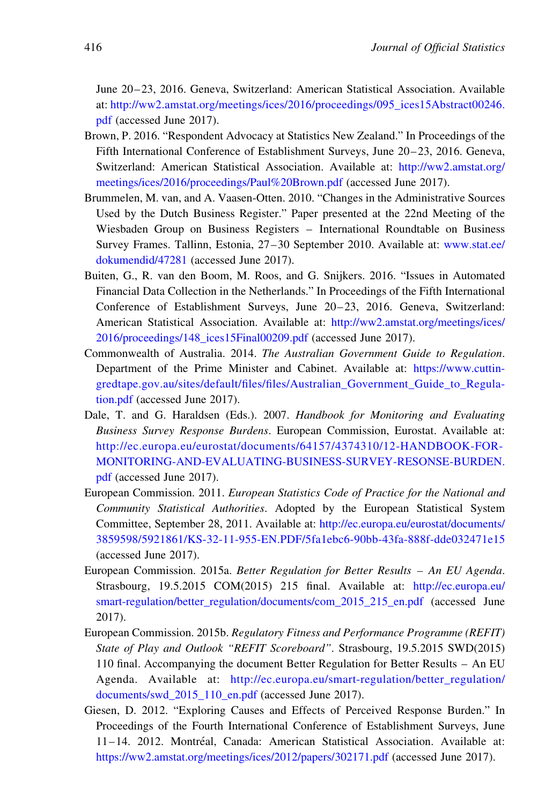<span id="page-19-0"></span>June 20–23, 2016. Geneva, Switzerland: American Statistical Association. Available at: [http://ww2.amstat.org/meetings/ices/2016/proceedings/095\\_ices15Abstract00246.](http://ww2.amstat.org/meetings/ices/2016/proceedings/095_ices15Abstract00246.pdf) [pdf](http://ww2.amstat.org/meetings/ices/2016/proceedings/095_ices15Abstract00246.pdf) (accessed June 2017).

- Brown, P. 2016. "Respondent Advocacy at Statistics New Zealand." In Proceedings of the Fifth International Conference of Establishment Surveys, June 20–23, 2016. Geneva, Switzerland: American Statistical Association. Available at: [http://ww2.amstat.org/](http://ww2.amstat.org/meetings/ices/2016/proceedings/Paul%20Brown.pdf) [meetings/ices/2016/proceedings/Paul%20Brown.pdf](http://ww2.amstat.org/meetings/ices/2016/proceedings/Paul%20Brown.pdf) (accessed June 2017).
- Brummelen, M. van, and A. Vaasen-Otten. 2010. "Changes in the Administrative Sources Used by the Dutch Business Register." Paper presented at the 22nd Meeting of the Wiesbaden Group on Business Registers – International Roundtable on Business Survey Frames. Tallinn, Estonia, 27–30 September 2010. Available at: [www.stat.ee/](http://www.stat.ee/dokumendid/47281) [dokumendid/47281](http://www.stat.ee/dokumendid/47281) (accessed June 2017).
- Buiten, G., R. van den Boom, M. Roos, and G. Snijkers. 2016. "Issues in Automated Financial Data Collection in the Netherlands." In Proceedings of the Fifth International Conference of Establishment Surveys, June 20–23, 2016. Geneva, Switzerland: American Statistical Association. Available at: [http://ww2.amstat.org/meetings/ices/](http://ww2.amstat.org/meetings/ices/2016/proceedings/148_ices15Final00209.pdf) [2016/proceedings/148\\_ices15Final00209.pdf](http://ww2.amstat.org/meetings/ices/2016/proceedings/148_ices15Final00209.pdf) (accessed June 2017).
- Commonwealth of Australia. 2014. The Australian Government Guide to Regulation. Department of the Prime Minister and Cabinet. Available at: [https://www.cuttin](https://www.cuttingredtape.gov.au/sites/default/files/files/Australian_Government_Guide_to_Regulation.pdf)[gredtape.gov.au/sites/default/files/files/Australian\\_Government\\_Guide\\_to\\_Regula](https://www.cuttingredtape.gov.au/sites/default/files/files/Australian_Government_Guide_to_Regulation.pdf)[tion.pdf](https://www.cuttingredtape.gov.au/sites/default/files/files/Australian_Government_Guide_to_Regulation.pdf) (accessed June 2017).
- Dale, T. and G. Haraldsen (Eds.). 2007. Handbook for Monitoring and Evaluating Business Survey Response Burdens. European Commission, Eurostat. Available at: [http://ec.europa.eu/eurostat/documents/64157/4374310/12-HANDBOOK-FOR-](http://ec.europa.eu/eurostat/documents/64157/4374310/12-HANDBOOK-FOR-MONITORING-AND-EVALUATING-BUSINESS-SURVEY-RESONSE-BURDEN.pdf)[MONITORING-AND-EVALUATING-BUSINESS-SURVEY-RESONSE-BURDEN.](http://ec.europa.eu/eurostat/documents/64157/4374310/12-HANDBOOK-FOR-MONITORING-AND-EVALUATING-BUSINESS-SURVEY-RESONSE-BURDEN.pdf) [pdf](http://ec.europa.eu/eurostat/documents/64157/4374310/12-HANDBOOK-FOR-MONITORING-AND-EVALUATING-BUSINESS-SURVEY-RESONSE-BURDEN.pdf) (accessed June 2017).
- European Commission. 2011. European Statistics Code of Practice for the National and Community Statistical Authorities. Adopted by the European Statistical System Committee, September 28, 2011. Available at: [http://ec.europa.eu/eurostat/documents/](http://ec.europa.eu/eurostat/documents/3859598/5921861/KS-32-11-955-EN.PDF/5fa1ebc6-90bb-43fa-888f-dde032471e15) [3859598/5921861/KS-32-11-955-EN.PDF/5fa1ebc6-90bb-43fa-888f-dde032471e15](http://ec.europa.eu/eurostat/documents/3859598/5921861/KS-32-11-955-EN.PDF/5fa1ebc6-90bb-43fa-888f-dde032471e15) (accessed June 2017).
- European Commission. 2015a. Better Regulation for Better Results An EU Agenda. Strasbourg, 19.5.2015 COM(2015) 215 final. Available at: [http://ec.europa.eu/](http://ec.europa.eu/smart-regulation/better_regulation/documents/com_2015_215_en.pdf) [smart-regulation/better\\_regulation/documents/com\\_2015\\_215\\_en.pdf](http://ec.europa.eu/smart-regulation/better_regulation/documents/com_2015_215_en.pdf) (accessed June 2017).
- European Commission. 2015b. Regulatory Fitness and Performance Programme (REFIT) State of Play and Outlook "REFIT Scoreboard". Strasbourg, 19.5.2015 SWD(2015) 110 final. Accompanying the document Better Regulation for Better Results – An EU Agenda. Available at: [http://ec.europa.eu/smart-regulation/better\\_regulation/](http://ec.europa.eu/smart-regulation/better_regulation/documents/swd_2015_110_en.pdf) [documents/swd\\_2015\\_110\\_en.pdf](http://ec.europa.eu/smart-regulation/better_regulation/documents/swd_2015_110_en.pdf) (accessed June 2017).
- Giesen, D. 2012. "Exploring Causes and Effects of Perceived Response Burden." In Proceedings of the Fourth International Conference of Establishment Surveys, June 11-14. 2012. Montréal, Canada: American Statistical Association. Available at: <https://ww2.amstat.org/meetings/ices/2012/papers/302171.pdf> (accessed June 2017).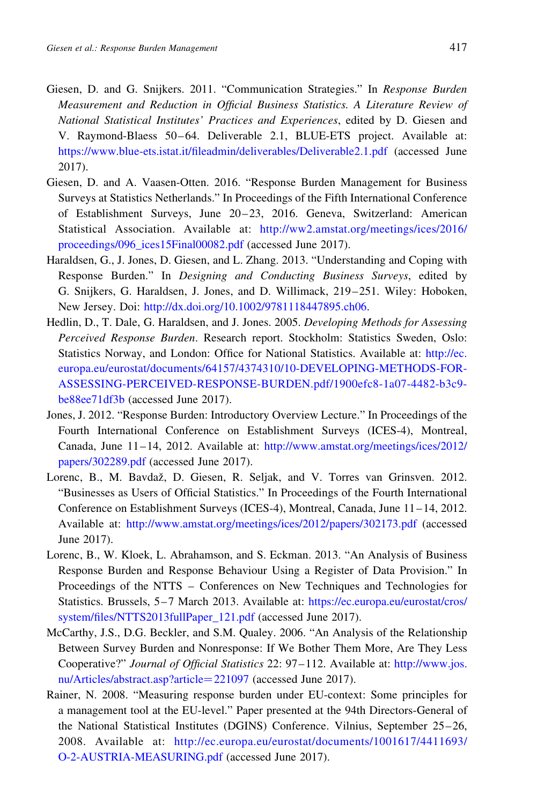- <span id="page-20-0"></span>Giesen, D. and G. Snijkers. 2011. "Communication Strategies." In Response Burden Measurement and Reduction in Official Business Statistics. A Literature Review of National Statistical Institutes' Practices and Experiences, edited by D. Giesen and V. Raymond-Blaess 50–64. Deliverable 2.1, BLUE-ETS project. Available at: <https://www.blue-ets.istat.it/fileadmin/deliverables/Deliverable2.1.pdf> (accessed June 2017).
- Giesen, D. and A. Vaasen-Otten. 2016. "Response Burden Management for Business Surveys at Statistics Netherlands." In Proceedings of the Fifth International Conference of Establishment Surveys, June 20–23, 2016. Geneva, Switzerland: American Statistical Association. Available at: [http://ww2.amstat.org/meetings/ices/2016/](http://ww2.amstat.org/meetings/ices/2016/proceedings/096_ices15Final00082.pdf) [proceedings/096\\_ices15Final00082.pdf](http://ww2.amstat.org/meetings/ices/2016/proceedings/096_ices15Final00082.pdf) (accessed June 2017).
- Haraldsen, G., J. Jones, D. Giesen, and L. Zhang. 2013. "Understanding and Coping with Response Burden." In Designing and Conducting Business Surveys, edited by G. Snijkers, G. Haraldsen, J. Jones, and D. Willimack, 219–251. Wiley: Hoboken, New Jersey. Doi: [http://dx.doi.org/10.1002/9781118447895.ch06.](http://dx.doi.org/10.1002/9781118447895.ch06)
- Hedlin, D., T. Dale, G. Haraldsen, and J. Jones. 2005. Developing Methods for Assessing Perceived Response Burden. Research report. Stockholm: Statistics Sweden, Oslo: Statistics Norway, and London: Office for National Statistics. Available at: [http://ec.](http://ec.europa.eu/eurostat/documents/64157/4374310/10-DEVELOPING-METHODS-FOR-ASSESSING-PERCEIVED-RESPONSE-BURDEN.pdf/1900efc8-1a07-4482-b3c9-be88ee71df3b) [europa.eu/eurostat/documents/64157/4374310/10-DEVELOPING-METHODS-FOR-](http://ec.europa.eu/eurostat/documents/64157/4374310/10-DEVELOPING-METHODS-FOR-ASSESSING-PERCEIVED-RESPONSE-BURDEN.pdf/1900efc8-1a07-4482-b3c9-be88ee71df3b)[ASSESSING-PERCEIVED-RESPONSE-BURDEN.pdf/1900efc8-1a07-4482-b3c9](http://ec.europa.eu/eurostat/documents/64157/4374310/10-DEVELOPING-METHODS-FOR-ASSESSING-PERCEIVED-RESPONSE-BURDEN.pdf/1900efc8-1a07-4482-b3c9-be88ee71df3b) [be88ee71df3b](http://ec.europa.eu/eurostat/documents/64157/4374310/10-DEVELOPING-METHODS-FOR-ASSESSING-PERCEIVED-RESPONSE-BURDEN.pdf/1900efc8-1a07-4482-b3c9-be88ee71df3b) (accessed June 2017).
- Jones, J. 2012. "Response Burden: Introductory Overview Lecture." In Proceedings of the Fourth International Conference on Establishment Surveys (ICES-4), Montreal, Canada, June 11–14, 2012. Available at: [http://www.amstat.org/meetings/ices/2012/](http://www.amstat.org/meetings/ices/2012/papers/302289.pdf) [papers/302289.pdf](http://www.amstat.org/meetings/ices/2012/papers/302289.pdf) (accessed June 2017).
- Lorenc, B., M. Bavdaž, D. Giesen, R. Seljak, and V. Torres van Grinsven. 2012. "Businesses as Users of Official Statistics." In Proceedings of the Fourth International Conference on Establishment Surveys (ICES-4), Montreal, Canada, June 11–14, 2012. Available at: <http://www.amstat.org/meetings/ices/2012/papers/302173.pdf> (accessed June 2017).
- Lorenc, B., W. Kloek, L. Abrahamson, and S. Eckman. 2013. "An Analysis of Business Response Burden and Response Behaviour Using a Register of Data Provision." In Proceedings of the NTTS – Conferences on New Techniques and Technologies for Statistics. Brussels, 5–7 March 2013. Available at: [https://ec.europa.eu/eurostat/cros/](https://ec.europa.eu/eurostat/cros/system/files/NTTS2013fullPaper_121.pdf) [system/files/NTTS2013fullPaper\\_121.pdf](https://ec.europa.eu/eurostat/cros/system/files/NTTS2013fullPaper_121.pdf) (accessed June 2017).
- McCarthy, J.S., D.G. Beckler, and S.M. Qualey. 2006. "An Analysis of the Relationship Between Survey Burden and Nonresponse: If We Bother Them More, Are They Less Cooperative?" Journal of Official Statistics 22: 97–112. Available at: [http://www.jos.](http://www.jos.nu/Articles/abstract.asp?article=221097) [nu/Articles/abstract.asp?article](http://www.jos.nu/Articles/abstract.asp?article=221097)=221097 (accessed June 2017).
- Rainer, N. 2008. "Measuring response burden under EU-context: Some principles for a management tool at the EU-level." Paper presented at the 94th Directors-General of the National Statistical Institutes (DGINS) Conference. Vilnius, September 25–26, 2008. Available at: [http://ec.europa.eu/eurostat/documents/1001617/4411693/](http://ec.europa.eu/eurostat/documents/1001617/4411693/O-2-AUSTRIA-MEASURING.pdf) [O-2-AUSTRIA-MEASURING.pdf](http://ec.europa.eu/eurostat/documents/1001617/4411693/O-2-AUSTRIA-MEASURING.pdf) (accessed June 2017).